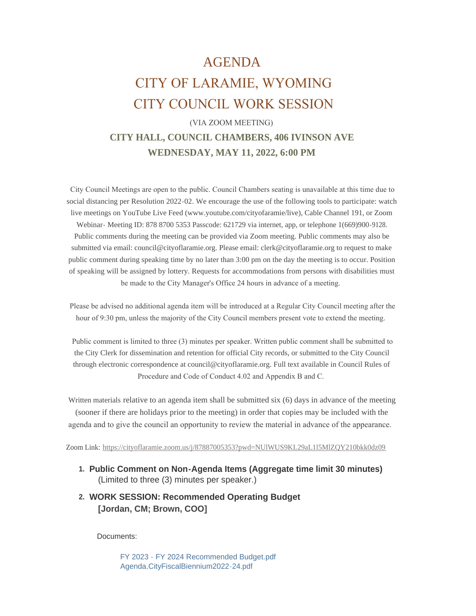## AGENDA CITY OF LARAMIE, WYOMING CITY COUNCIL WORK SESSION

## (VIA ZOOM MEETING) **CITY HALL, COUNCIL CHAMBERS, 406 IVINSON AVE WEDNESDAY, MAY 11, 2022, 6:00 PM**

 City Council Meetings are open to the public. Council Chambers seating is unavailable at this time due to social distancing per Resolution 2022-02. We encourage the use of the following tools to participate: watch live meetings on YouTube Live Feed (www.youtube.com/cityofaramie/live), Cable Channel 191, or Zoom Webinar- Meeting ID: 878 8700 5353 Passcode: 621729 via internet, app, or telephone 1(669)900-9128. Public comments during the meeting can be provided via Zoom meeting. Public comments may also be submitted via email: council@cityoflaramie.org. Please email: clerk@cityoflaramie.org to request to make public comment during speaking time by no later than 3:00 pm on the day the meeting is to occur. Position of speaking will be assigned by lottery. Requests for accommodations from persons with disabilities must be made to the City Manager's Office 24 hours in advance of a meeting.

 Please be advised no additional agenda item will be introduced at a Regular City Council meeting after the hour of 9:30 pm, unless the majority of the City Council members present vote to extend the meeting.

 Public comment is limited to three (3) minutes per speaker. Written public comment shall be submitted to the City Clerk for dissemination and retention for official City records, or submitted to the City Council through electronic correspondence at council@cityoflaramie.org. Full text available in Council Rules of Procedure and Code of Conduct 4.02 and Appendix B and C.

Written materials relative to an agenda item shall be submitted six (6) days in advance of the meeting (sooner if there are holidays prior to the meeting) in order that copies may be included with the agenda and to give the council an opportunity to review the material in advance of the appearance.

Zoom Link: <https://cityoflaramie.zoom.us/j/87887005353?pwd=NUlWUS9KL29aL1l5MlZQY210bkk0dz09>

- **Public Comment on Non-Agenda Items (Aggregate time limit 30 minutes) 1.** (Limited to three (3) minutes per speaker.)
- **WORK SESSION: Recommended Operating Budget 2. [Jordan, CM; Brown, COO]**

Documents:

[FY 2023 - FY 2024 Recommended Budget.pdf](https://cityoflaramie.org/AgendaCenter/ViewFile/Item/12383?fileID=16950) [Agenda.CityFiscalBiennium2022-24.pdf](https://cityoflaramie.org/AgendaCenter/ViewFile/Item/12383?fileID=17002)